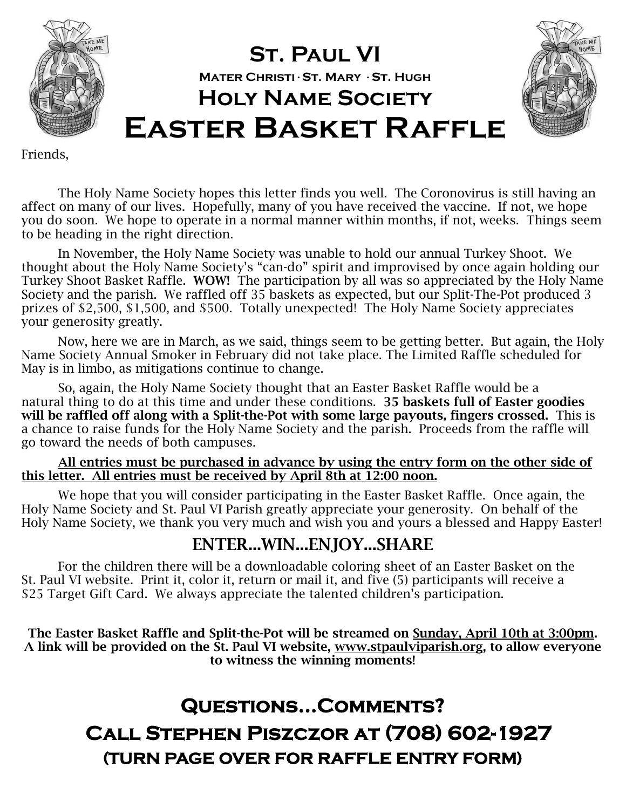

## **St. Paul VI Mater Christi**•**St. Mary** •**St. Hugh Holy Name Society Easter Basket Raffle**



Friends,

 The Holy Name Society hopes this letter finds you well. The Coronovirus is still having an affect on many of our lives. Hopefully, many of you have received the vaccine. If not, we hope you do soon. We hope to operate in a normal manner within months, if not, weeks. Things seem to be heading in the right direction.

 In November, the Holy Name Society was unable to hold our annual Turkey Shoot. We thought about the Holy Name Society's "can-do" spirit and improvised by once again holding our Turkey Shoot Basket Raffle. **WOW!** The participation by all was so appreciated by the Holy Name Society and the parish. We raffled off 35 baskets as expected, but our Split-The-Pot produced 3 prizes of \$2,500, \$1,500, and \$500. Totally unexpected! The Holy Name Society appreciates your generosity greatly.

 Now, here we are in March, as we said, things seem to be getting better. But again, the Holy Name Society Annual Smoker in February did not take place. The Limited Raffle scheduled for May is in limbo, as mitigations continue to change.

 So, again, the Holy Name Society thought that an Easter Basket Raffle would be a natural thing to do at this time and under these conditions. **35 baskets full of Easter goodies will be raffled off along with a Split-the-Pot with some large payouts, fingers crossed.** This is a chance to raise funds for the Holy Name Society and the parish. Proceeds from the raffle will go toward the needs of both campuses.

#### **All entries must be purchased in advance by using the entry form on the other side of this letter. All entries must be received by April 8th at 12:00 noon.**

 We hope that you will consider participating in the Easter Basket Raffle. Once again, the Holy Name Society and St. Paul VI Parish greatly appreciate your generosity. On behalf of the Holy Name Society, we thank you very much and wish you and yours a blessed and Happy Easter!

#### **ENTER...WIN...ENJOY...SHARE**

For the children there will be a downloadable coloring sheet of an Easter Basket on the St. Paul VI website. Print it, color it, return or mail it, and five (5) participants will receive a \$25 Target Gift Card. We always appreciate the talented children's participation.

**The Easter Basket Raffle and Split-the-Pot will be streamed on Sunday, April 10th at 3:00pm. A link will be provided on the St. Paul VI website, www.stpaulviparish.org, to allow everyone to witness the winning moments!** 

## **Questions...Comments? Call Stephen Piszczor at (708) 602-1927 (TURN PAGE OVER FOR RAFFLE ENTRY FORM)**